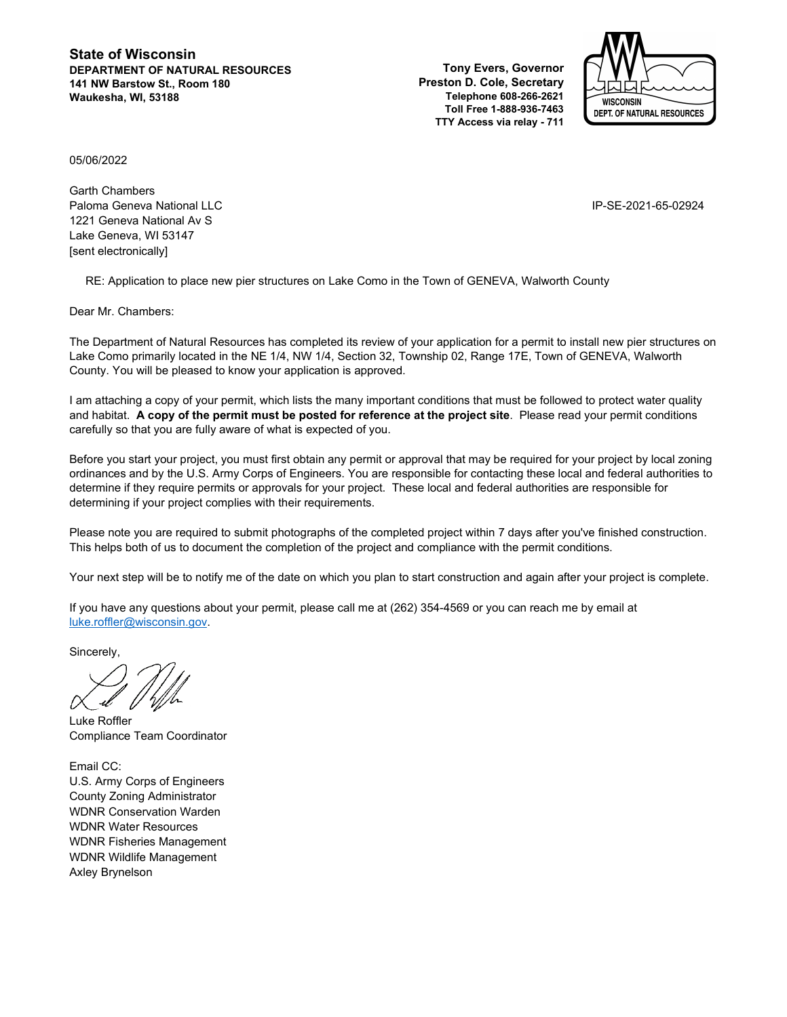**State of Wisconsin DEPARTMENT OF NATURAL RESOURCES 141 NW Barstow St., Room 180 Waukesha, WI, 53188**

**Tony Evers, Governor Preston D. Cole, Secretary Telephone 608-266-2621 Toll Free 1-888-936-7463 TTY Access via relay - 711**



05/06/2022

Garth Chambers Paloma Geneva National LLC IP-SE-2021-65-02924 1221 Geneva National Av S Lake Geneva, WI 53147 [sent electronically]

RE: Application to place new pier structures on Lake Como in the Town of GENEVA, Walworth County

Dear Mr. Chambers:

The Department of Natural Resources has completed its review of your application for a permit to install new pier structures on Lake Como primarily located in the NE 1/4, NW 1/4, Section 32, Township 02, Range 17E, Town of GENEVA, Walworth County. You will be pleased to know your application is approved.

I am attaching a copy of your permit, which lists the many important conditions that must be followed to protect water quality and habitat. **A copy of the permit must be posted for reference at the project site**. Please read your permit conditions carefully so that you are fully aware of what is expected of you.

Before you start your project, you must first obtain any permit or approval that may be required for your project by local zoning ordinances and by the U.S. Army Corps of Engineers. You are responsible for contacting these local and federal authorities to determine if they require permits or approvals for your project. These local and federal authorities are responsible for determining if your project complies with their requirements.

Please note you are required to submit photographs of the completed project within 7 days after you've finished construction. This helps both of us to document the completion of the project and compliance with the permit conditions.

Your next step will be to notify me of the date on which you plan to start construction and again after your project is complete.

If you have any questions about your permit, please call me at (262) 354-4569 or you can reach me by email at [luke.roffler@wisconsin.gov.](mailto:luke.roffler@wisconsin.gov)

Sincerely,

Luke Roffler Compliance Team Coordinator

Email CC: U.S. Army Corps of Engineers County Zoning Administrator WDNR Conservation Warden WDNR Water Resources WDNR Fisheries Management WDNR Wildlife Management Axley Brynelson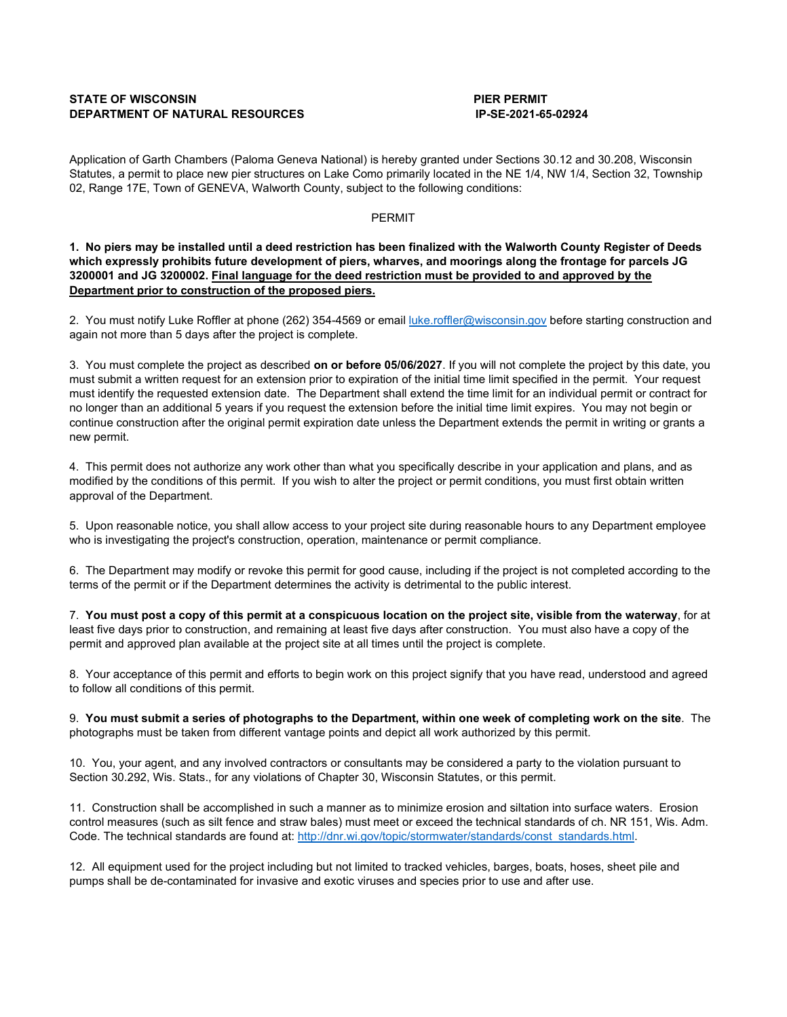# **STATE OF WISCONSIN PIER PERMIT DEPARTMENT OF NATURAL RESOURCES**

Application of Garth Chambers (Paloma Geneva National) is hereby granted under Sections 30.12 and 30.208, Wisconsin Statutes, a permit to place new pier structures on Lake Como primarily located in the NE 1/4, NW 1/4, Section 32, Township 02, Range 17E, Town of GENEVA, Walworth County, subject to the following conditions:

# PERMIT

**1. No piers may be installed until a deed restriction has been finalized with the Walworth County Register of Deeds which expressly prohibits future development of piers, wharves, and moorings along the frontage for parcels JG 3200001 and JG 3200002. Final language for the deed restriction must be provided to and approved by the Department prior to construction of the proposed piers.**

2. You must notify Luke Roffler at phone (262) 354-4569 or email [luke.roffler@wisconsin.gov](mailto:luke.roffler@wisconsin.gov) before starting construction and again not more than 5 days after the project is complete.

3. You must complete the project as described **on or before 05/06/2027**. If you will not complete the project by this date, you must submit a written request for an extension prior to expiration of the initial time limit specified in the permit. Your request must identify the requested extension date. The Department shall extend the time limit for an individual permit or contract for no longer than an additional 5 years if you request the extension before the initial time limit expires. You may not begin or continue construction after the original permit expiration date unless the Department extends the permit in writing or grants a new permit.

4. This permit does not authorize any work other than what you specifically describe in your application and plans, and as modified by the conditions of this permit. If you wish to alter the project or permit conditions, you must first obtain written approval of the Department.

5. Upon reasonable notice, you shall allow access to your project site during reasonable hours to any Department employee who is investigating the project's construction, operation, maintenance or permit compliance.

6. The Department may modify or revoke this permit for good cause, including if the project is not completed according to the terms of the permit or if the Department determines the activity is detrimental to the public interest.

7. **You must post a copy of this permit at a conspicuous location on the project site, visible from the waterway**, for at least five days prior to construction, and remaining at least five days after construction. You must also have a copy of the permit and approved plan available at the project site at all times until the project is complete.

8. Your acceptance of this permit and efforts to begin work on this project signify that you have read, understood and agreed to follow all conditions of this permit.

9. **You must submit a series of photographs to the Department, within one week of completing work on the site**. The photographs must be taken from different vantage points and depict all work authorized by this permit.

10. You, your agent, and any involved contractors or consultants may be considered a party to the violation pursuant to Section 30.292, Wis. Stats., for any violations of Chapter 30, Wisconsin Statutes, or this permit.

11. Construction shall be accomplished in such a manner as to minimize erosion and siltation into surface waters. Erosion control measures (such as silt fence and straw bales) must meet or exceed the technical standards of ch. NR 151, Wis. Adm. Code. The technical standards are found at[: http://dnr.wi.gov/topic/stormwater/standards/const\\_standards.html.](http://dnr.wi.gov/topic/stormwater/standards/const_standards.html)

12. All equipment used for the project including but not limited to tracked vehicles, barges, boats, hoses, sheet pile and pumps shall be de-contaminated for invasive and exotic viruses and species prior to use and after use.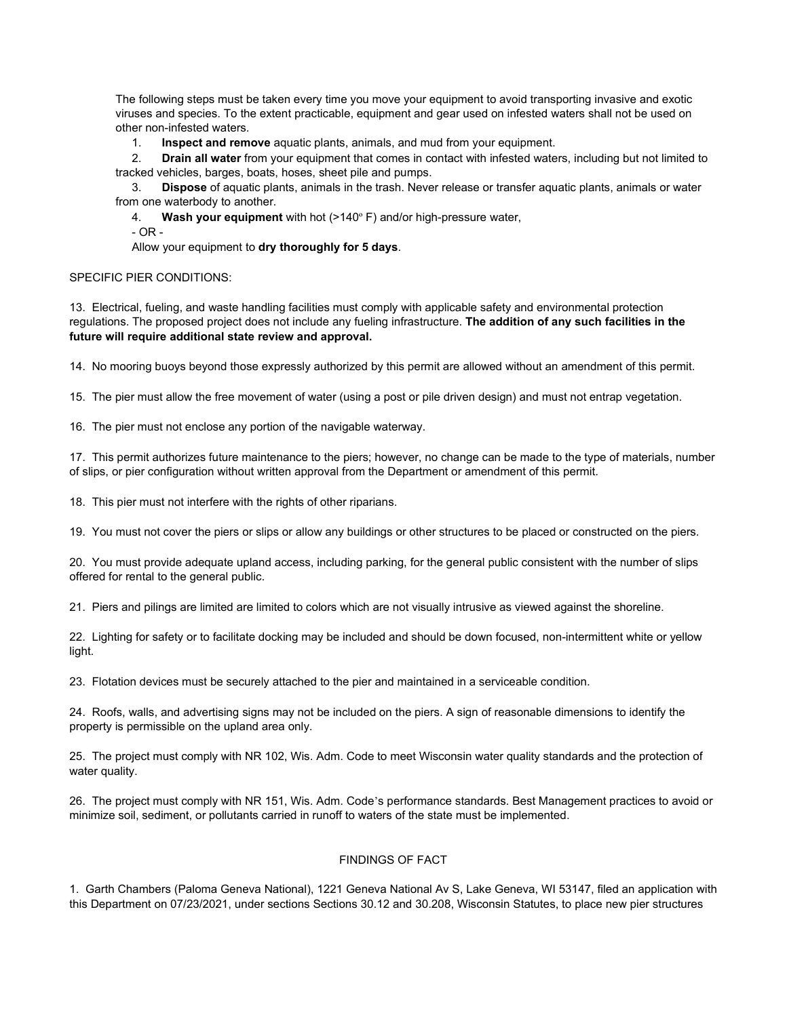The following steps must be taken every time you move your equipment to avoid transporting invasive and exotic viruses and species. To the extent practicable, equipment and gear used on infested waters shall not be used on other non-infested waters.

1. **Inspect and remove** aquatic plants, animals, and mud from your equipment.

 2. **Drain all water** from your equipment that comes in contact with infested waters, including but not limited to tracked vehicles, barges, boats, hoses, sheet pile and pumps.

 3. **Dispose** of aquatic plants, animals in the trash. Never release or transfer aquatic plants, animals or water from one waterbody to another.

4. **Wash your equipment** with hot (>140º F) and/or high-pressure water,

- OR -

Allow your equipment to **dry thoroughly for 5 days**.

#### SPECIFIC PIER CONDITIONS:

13. Electrical, fueling, and waste handling facilities must comply with applicable safety and environmental protection regulations. The proposed project does not include any fueling infrastructure. **The addition of any such facilities in the future will require additional state review and approval.**

14. No mooring buoys beyond those expressly authorized by this permit are allowed without an amendment of this permit.

15. The pier must allow the free movement of water (using a post or pile driven design) and must not entrap vegetation.

16. The pier must not enclose any portion of the navigable waterway.

17. This permit authorizes future maintenance to the piers; however, no change can be made to the type of materials, number of slips, or pier configuration without written approval from the Department or amendment of this permit.

18. This pier must not interfere with the rights of other riparians.

19. You must not cover the piers or slips or allow any buildings or other structures to be placed or constructed on the piers.

20. You must provide adequate upland access, including parking, for the general public consistent with the number of slips offered for rental to the general public.

21. Piers and pilings are limited are limited to colors which are not visually intrusive as viewed against the shoreline.

22. Lighting for safety or to facilitate docking may be included and should be down focused, non-intermittent white or yellow light.

23. Flotation devices must be securely attached to the pier and maintained in a serviceable condition.

24. Roofs, walls, and advertising signs may not be included on the piers. A sign of reasonable dimensions to identify the property is permissible on the upland area only.

25. The project must comply with NR 102, Wis. Adm. Code to meet Wisconsin water quality standards and the protection of water quality.

26. The project must comply with NR 151, Wis. Adm. Code's performance standards. Best Management practices to avoid or minimize soil, sediment, or pollutants carried in runoff to waters of the state must be implemented.

### FINDINGS OF FACT

1. Garth Chambers (Paloma Geneva National), 1221 Geneva National Av S, Lake Geneva, WI 53147, filed an application with this Department on 07/23/2021, under sections Sections 30.12 and 30.208, Wisconsin Statutes, to place new pier structures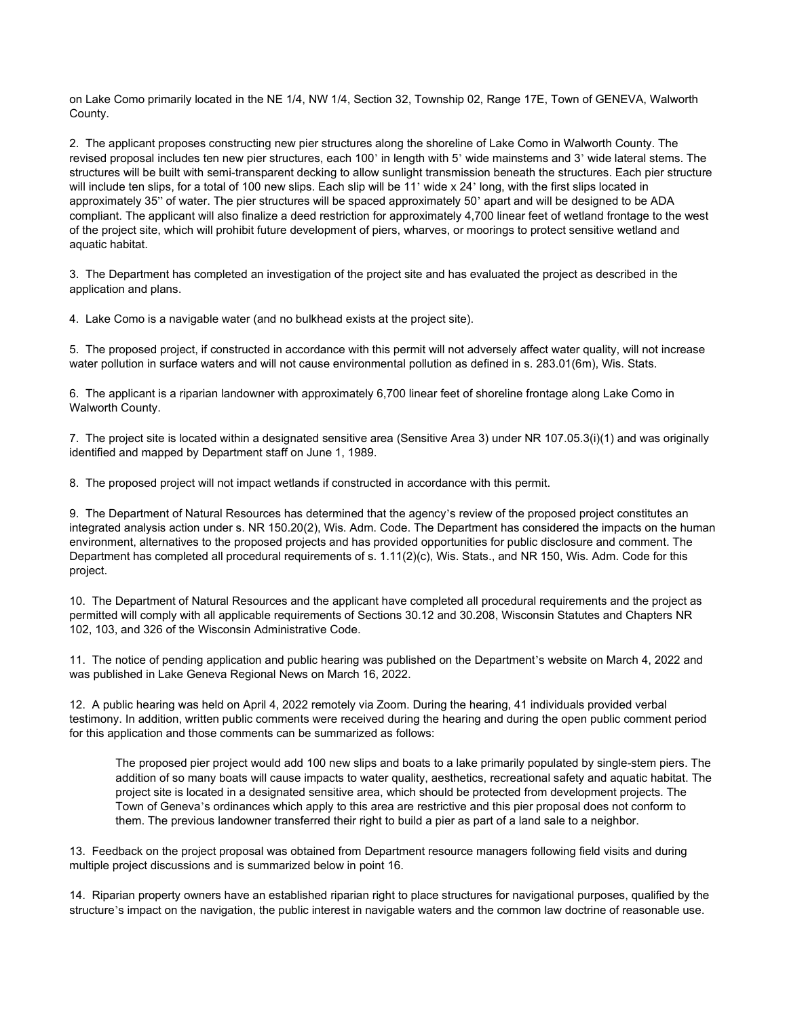on Lake Como primarily located in the NE 1/4, NW 1/4, Section 32, Township 02, Range 17E, Town of GENEVA, Walworth County.

2. The applicant proposes constructing new pier structures along the shoreline of Lake Como in Walworth County. The revised proposal includes ten new pier structures, each 100' in length with 5' wide mainstems and 3' wide lateral stems. The structures will be built with semi-transparent decking to allow sunlight transmission beneath the structures. Each pier structure will include ten slips, for a total of 100 new slips. Each slip will be 11' wide x 24' long, with the first slips located in approximately 35" of water. The pier structures will be spaced approximately 50' apart and will be designed to be ADA compliant. The applicant will also finalize a deed restriction for approximately 4,700 linear feet of wetland frontage to the west of the project site, which will prohibit future development of piers, wharves, or moorings to protect sensitive wetland and aquatic habitat.

3. The Department has completed an investigation of the project site and has evaluated the project as described in the application and plans.

4. Lake Como is a navigable water (and no bulkhead exists at the project site).

5. The proposed project, if constructed in accordance with this permit will not adversely affect water quality, will not increase water pollution in surface waters and will not cause environmental pollution as defined in s. 283.01(6m), Wis. Stats.

6. The applicant is a riparian landowner with approximately 6,700 linear feet of shoreline frontage along Lake Como in Walworth County.

7. The project site is located within a designated sensitive area (Sensitive Area 3) under NR 107.05.3(i)(1) and was originally identified and mapped by Department staff on June 1, 1989.

8. The proposed project will not impact wetlands if constructed in accordance with this permit.

9. The Department of Natural Resources has determined that the agency's review of the proposed project constitutes an integrated analysis action under s. NR 150.20(2), Wis. Adm. Code. The Department has considered the impacts on the human environment, alternatives to the proposed projects and has provided opportunities for public disclosure and comment. The Department has completed all procedural requirements of s. 1.11(2)(c), Wis. Stats., and NR 150, Wis. Adm. Code for this project.

10. The Department of Natural Resources and the applicant have completed all procedural requirements and the project as permitted will comply with all applicable requirements of Sections 30.12 and 30.208, Wisconsin Statutes and Chapters NR 102, 103, and 326 of the Wisconsin Administrative Code.

11. The notice of pending application and public hearing was published on the Department's website on March 4, 2022 and was published in Lake Geneva Regional News on March 16, 2022.

12. A public hearing was held on April 4, 2022 remotely via Zoom. During the hearing, 41 individuals provided verbal testimony. In addition, written public comments were received during the hearing and during the open public comment period for this application and those comments can be summarized as follows:

The proposed pier project would add 100 new slips and boats to a lake primarily populated by single-stem piers. The addition of so many boats will cause impacts to water quality, aesthetics, recreational safety and aquatic habitat. The project site is located in a designated sensitive area, which should be protected from development projects. The Town of Geneva's ordinances which apply to this area are restrictive and this pier proposal does not conform to them. The previous landowner transferred their right to build a pier as part of a land sale to a neighbor.

13. Feedback on the project proposal was obtained from Department resource managers following field visits and during multiple project discussions and is summarized below in point 16.

14. Riparian property owners have an established riparian right to place structures for navigational purposes, qualified by the structure's impact on the navigation, the public interest in navigable waters and the common law doctrine of reasonable use.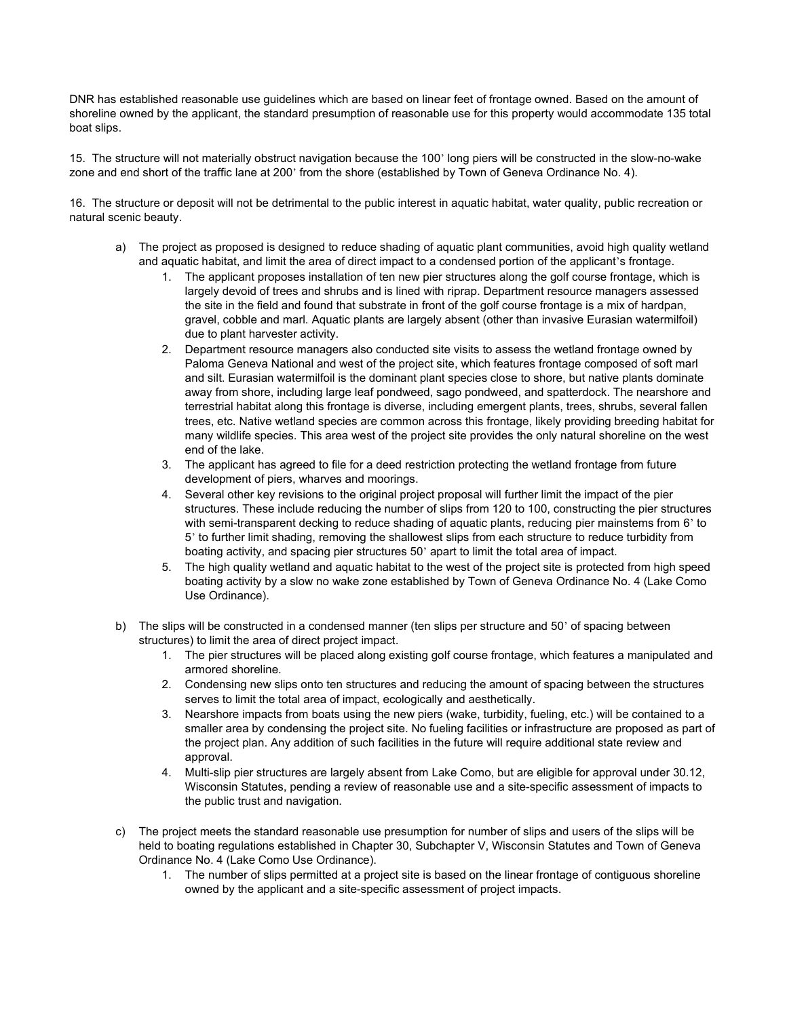DNR has established reasonable use guidelines which are based on linear feet of frontage owned. Based on the amount of shoreline owned by the applicant, the standard presumption of reasonable use for this property would accommodate 135 total boat slips.

15. The structure will not materially obstruct navigation because the 100' long piers will be constructed in the slow-no-wake zone and end short of the traffic lane at 200' from the shore (established by Town of Geneva Ordinance No. 4).

16. The structure or deposit will not be detrimental to the public interest in aquatic habitat, water quality, public recreation or natural scenic beauty.

- a) The project as proposed is designed to reduce shading of aquatic plant communities, avoid high quality wetland and aquatic habitat, and limit the area of direct impact to a condensed portion of the applicant's frontage.
	- 1. The applicant proposes installation of ten new pier structures along the golf course frontage, which is largely devoid of trees and shrubs and is lined with riprap. Department resource managers assessed the site in the field and found that substrate in front of the golf course frontage is a mix of hardpan, gravel, cobble and marl. Aquatic plants are largely absent (other than invasive Eurasian watermilfoil) due to plant harvester activity.
	- 2. Department resource managers also conducted site visits to assess the wetland frontage owned by Paloma Geneva National and west of the project site, which features frontage composed of soft marl and silt. Eurasian watermilfoil is the dominant plant species close to shore, but native plants dominate away from shore, including large leaf pondweed, sago pondweed, and spatterdock. The nearshore and terrestrial habitat along this frontage is diverse, including emergent plants, trees, shrubs, several fallen trees, etc. Native wetland species are common across this frontage, likely providing breeding habitat for many wildlife species. This area west of the project site provides the only natural shoreline on the west end of the lake.
	- 3. The applicant has agreed to file for a deed restriction protecting the wetland frontage from future development of piers, wharves and moorings.
	- 4. Several other key revisions to the original project proposal will further limit the impact of the pier structures. These include reducing the number of slips from 120 to 100, constructing the pier structures with semi-transparent decking to reduce shading of aquatic plants, reducing pier mainstems from 6' to 5' to further limit shading, removing the shallowest slips from each structure to reduce turbidity from boating activity, and spacing pier structures 50' apart to limit the total area of impact.
	- 5. The high quality wetland and aquatic habitat to the west of the project site is protected from high speed boating activity by a slow no wake zone established by Town of Geneva Ordinance No. 4 (Lake Como Use Ordinance).
- b) The slips will be constructed in a condensed manner (ten slips per structure and 50' of spacing between structures) to limit the area of direct project impact.
	- 1. The pier structures will be placed along existing golf course frontage, which features a manipulated and armored shoreline.
	- 2. Condensing new slips onto ten structures and reducing the amount of spacing between the structures serves to limit the total area of impact, ecologically and aesthetically.
	- 3. Nearshore impacts from boats using the new piers (wake, turbidity, fueling, etc.) will be contained to a smaller area by condensing the project site. No fueling facilities or infrastructure are proposed as part of the project plan. Any addition of such facilities in the future will require additional state review and approval.
	- 4. Multi-slip pier structures are largely absent from Lake Como, but are eligible for approval under 30.12, Wisconsin Statutes, pending a review of reasonable use and a site-specific assessment of impacts to the public trust and navigation.
- c) The project meets the standard reasonable use presumption for number of slips and users of the slips will be held to boating regulations established in Chapter 30, Subchapter V, Wisconsin Statutes and Town of Geneva Ordinance No. 4 (Lake Como Use Ordinance).
	- 1. The number of slips permitted at a project site is based on the linear frontage of contiguous shoreline owned by the applicant and a site-specific assessment of project impacts.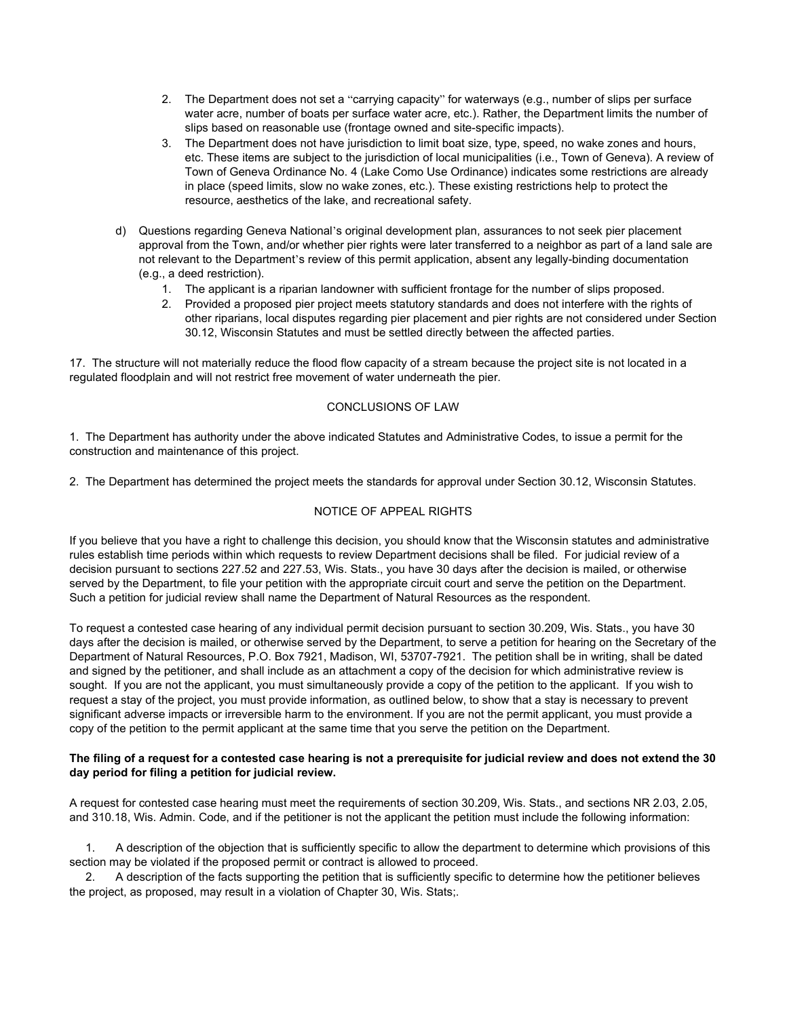- 2. The Department does not set a "carrying capacity" for waterways (e.g., number of slips per surface water acre, number of boats per surface water acre, etc.). Rather, the Department limits the number of slips based on reasonable use (frontage owned and site-specific impacts).
- 3. The Department does not have jurisdiction to limit boat size, type, speed, no wake zones and hours, etc. These items are subject to the jurisdiction of local municipalities (i.e., Town of Geneva). A review of Town of Geneva Ordinance No. 4 (Lake Como Use Ordinance) indicates some restrictions are already in place (speed limits, slow no wake zones, etc.). These existing restrictions help to protect the resource, aesthetics of the lake, and recreational safety.
- d) Questions regarding Geneva National's original development plan, assurances to not seek pier placement approval from the Town, and/or whether pier rights were later transferred to a neighbor as part of a land sale are not relevant to the Department's review of this permit application, absent any legally-binding documentation (e.g., a deed restriction).
	- 1. The applicant is a riparian landowner with sufficient frontage for the number of slips proposed.
	- 2. Provided a proposed pier project meets statutory standards and does not interfere with the rights of other riparians, local disputes regarding pier placement and pier rights are not considered under Section 30.12, Wisconsin Statutes and must be settled directly between the affected parties.

17. The structure will not materially reduce the flood flow capacity of a stream because the project site is not located in a regulated floodplain and will not restrict free movement of water underneath the pier.

## CONCLUSIONS OF LAW

1. The Department has authority under the above indicated Statutes and Administrative Codes, to issue a permit for the construction and maintenance of this project.

2. The Department has determined the project meets the standards for approval under Section 30.12, Wisconsin Statutes.

# NOTICE OF APPEAL RIGHTS

If you believe that you have a right to challenge this decision, you should know that the Wisconsin statutes and administrative rules establish time periods within which requests to review Department decisions shall be filed. For judicial review of a decision pursuant to sections 227.52 and 227.53, Wis. Stats., you have 30 days after the decision is mailed, or otherwise served by the Department, to file your petition with the appropriate circuit court and serve the petition on the Department. Such a petition for judicial review shall name the Department of Natural Resources as the respondent.

To request a contested case hearing of any individual permit decision pursuant to section 30.209, Wis. Stats., you have 30 days after the decision is mailed, or otherwise served by the Department, to serve a petition for hearing on the Secretary of the Department of Natural Resources, P.O. Box 7921, Madison, WI, 53707-7921. The petition shall be in writing, shall be dated and signed by the petitioner, and shall include as an attachment a copy of the decision for which administrative review is sought. If you are not the applicant, you must simultaneously provide a copy of the petition to the applicant. If you wish to request a stay of the project, you must provide information, as outlined below, to show that a stay is necessary to prevent significant adverse impacts or irreversible harm to the environment. If you are not the permit applicant, you must provide a copy of the petition to the permit applicant at the same time that you serve the petition on the Department.

### **The filing of a request for a contested case hearing is not a prerequisite for judicial review and does not extend the 30 day period for filing a petition for judicial review.**

A request for contested case hearing must meet the requirements of section 30.209, Wis. Stats., and sections NR 2.03, 2.05, and 310.18, Wis. Admin. Code, and if the petitioner is not the applicant the petition must include the following information:

 1. A description of the objection that is sufficiently specific to allow the department to determine which provisions of this section may be violated if the proposed permit or contract is allowed to proceed.

 2. A description of the facts supporting the petition that is sufficiently specific to determine how the petitioner believes the project, as proposed, may result in a violation of Chapter 30, Wis. Stats;.